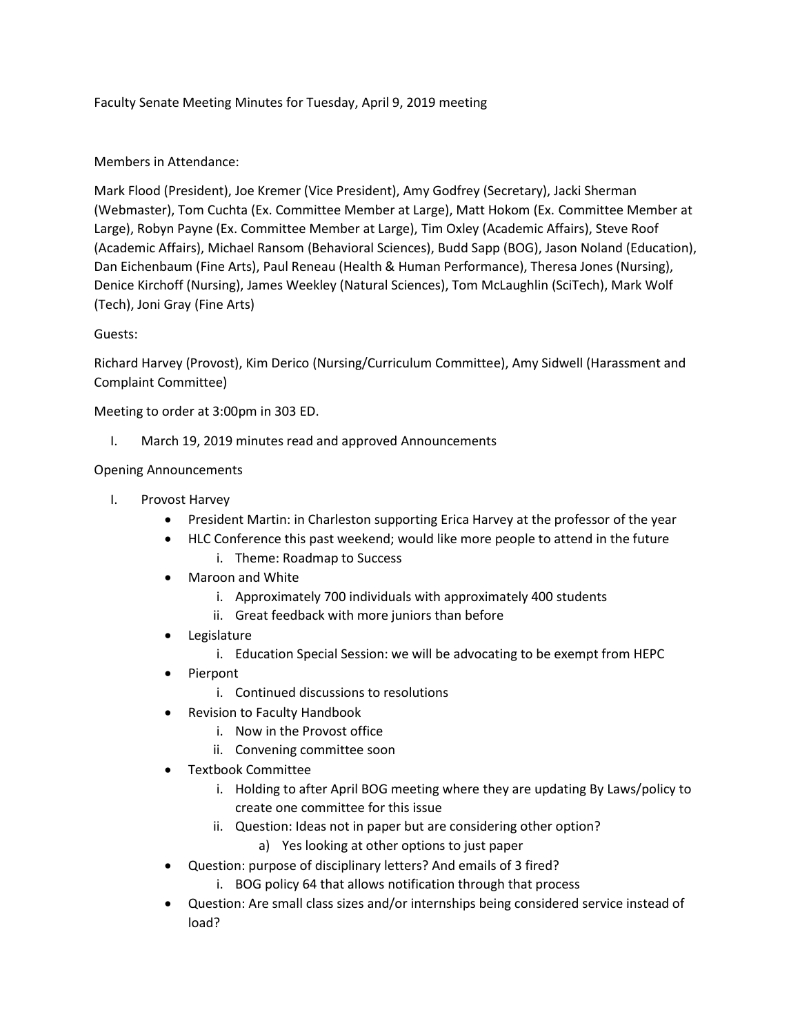Faculty Senate Meeting Minutes for Tuesday, April 9, 2019 meeting

### Members in Attendance:

Mark Flood (President), Joe Kremer (Vice President), Amy Godfrey (Secretary), Jacki Sherman (Webmaster), Tom Cuchta (Ex. Committee Member at Large), Matt Hokom (Ex. Committee Member at Large), Robyn Payne (Ex. Committee Member at Large), Tim Oxley (Academic Affairs), Steve Roof (Academic Affairs), Michael Ransom (Behavioral Sciences), Budd Sapp (BOG), Jason Noland (Education), Dan Eichenbaum (Fine Arts), Paul Reneau (Health & Human Performance), Theresa Jones (Nursing), Denice Kirchoff (Nursing), James Weekley (Natural Sciences), Tom McLaughlin (SciTech), Mark Wolf (Tech), Joni Gray (Fine Arts)

#### Guests:

Richard Harvey (Provost), Kim Derico (Nursing/Curriculum Committee), Amy Sidwell (Harassment and Complaint Committee)

Meeting to order at 3:00pm in 303 ED.

I. March 19, 2019 minutes read and approved Announcements

#### Opening Announcements

- I. Provost Harvey
	- President Martin: in Charleston supporting Erica Harvey at the professor of the year
	- HLC Conference this past weekend; would like more people to attend in the future i. Theme: Roadmap to Success
	- Maroon and White
		- i. Approximately 700 individuals with approximately 400 students
		- ii. Great feedback with more juniors than before
	- Legislature
		- i. Education Special Session: we will be advocating to be exempt from HEPC
	- Pierpont
		- i. Continued discussions to resolutions
	- Revision to Faculty Handbook
		- i. Now in the Provost office
		- ii. Convening committee soon
	- Textbook Committee
		- i. Holding to after April BOG meeting where they are updating By Laws/policy to create one committee for this issue
		- ii. Question: Ideas not in paper but are considering other option?
			- a) Yes looking at other options to just paper
	- Question: purpose of disciplinary letters? And emails of 3 fired?
		- i. BOG policy 64 that allows notification through that process
	- Question: Are small class sizes and/or internships being considered service instead of load?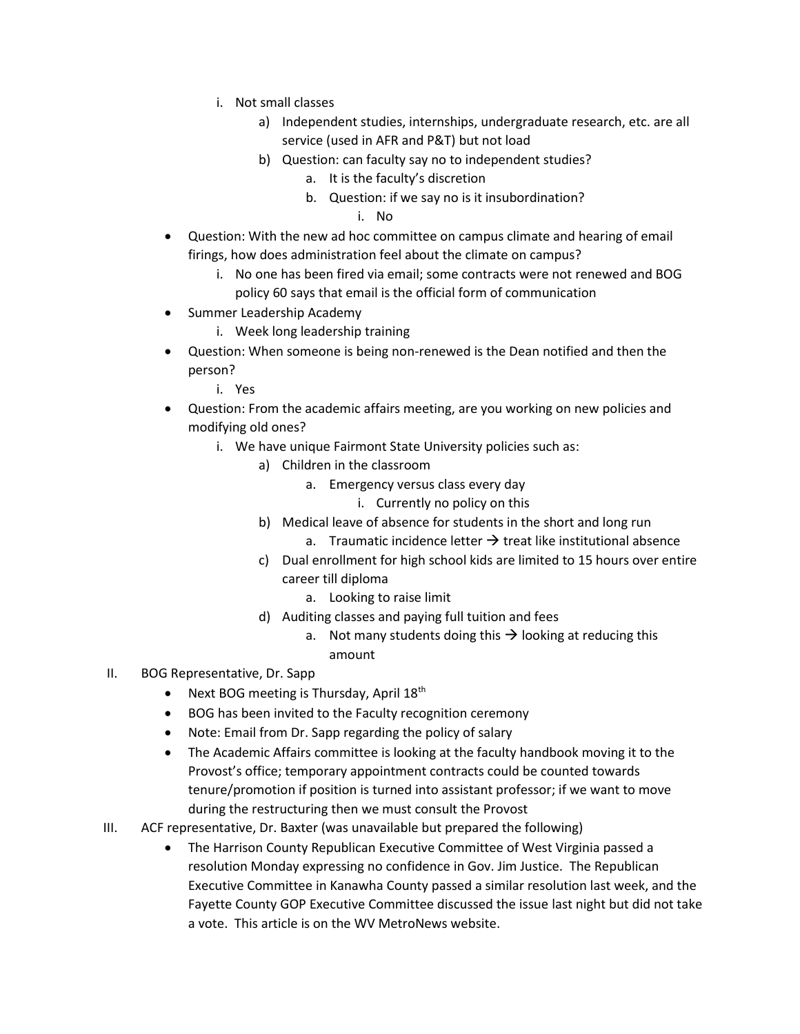- i. Not small classes
	- a) Independent studies, internships, undergraduate research, etc. are all service (used in AFR and P&T) but not load
	- b) Question: can faculty say no to independent studies?
		- a. It is the faculty's discretion
		- b. Question: if we say no is it insubordination?
			- i. No
- Question: With the new ad hoc committee on campus climate and hearing of email firings, how does administration feel about the climate on campus?
	- i. No one has been fired via email; some contracts were not renewed and BOG policy 60 says that email is the official form of communication
- Summer Leadership Academy
	- i. Week long leadership training
- Question: When someone is being non-renewed is the Dean notified and then the person?
	- i. Yes
- Question: From the academic affairs meeting, are you working on new policies and modifying old ones?
	- i. We have unique Fairmont State University policies such as:
		- a) Children in the classroom
			- a. Emergency versus class every day
				- i. Currently no policy on this
		- b) Medical leave of absence for students in the short and long run
			- a. Traumatic incidence letter  $\rightarrow$  treat like institutional absence
		- c) Dual enrollment for high school kids are limited to 15 hours over entire career till diploma
			- a. Looking to raise limit
		- d) Auditing classes and paying full tuition and fees
			- a. Not many students doing this  $\rightarrow$  looking at reducing this amount
- II. BOG Representative, Dr. Sapp
	- Next BOG meeting is Thursday, April  $18<sup>th</sup>$
	- BOG has been invited to the Faculty recognition ceremony
	- Note: Email from Dr. Sapp regarding the policy of salary
	- The Academic Affairs committee is looking at the faculty handbook moving it to the Provost's office; temporary appointment contracts could be counted towards tenure/promotion if position is turned into assistant professor; if we want to move during the restructuring then we must consult the Provost
- III. ACF representative, Dr. Baxter (was unavailable but prepared the following)
	- The Harrison County Republican Executive Committee of West Virginia passed a resolution Monday expressing no confidence in Gov. Jim Justice. The Republican Executive Committee in Kanawha County passed a similar resolution last week, and the Fayette County GOP Executive Committee discussed the issue last night but did not take a vote. This article is on the WV MetroNews website.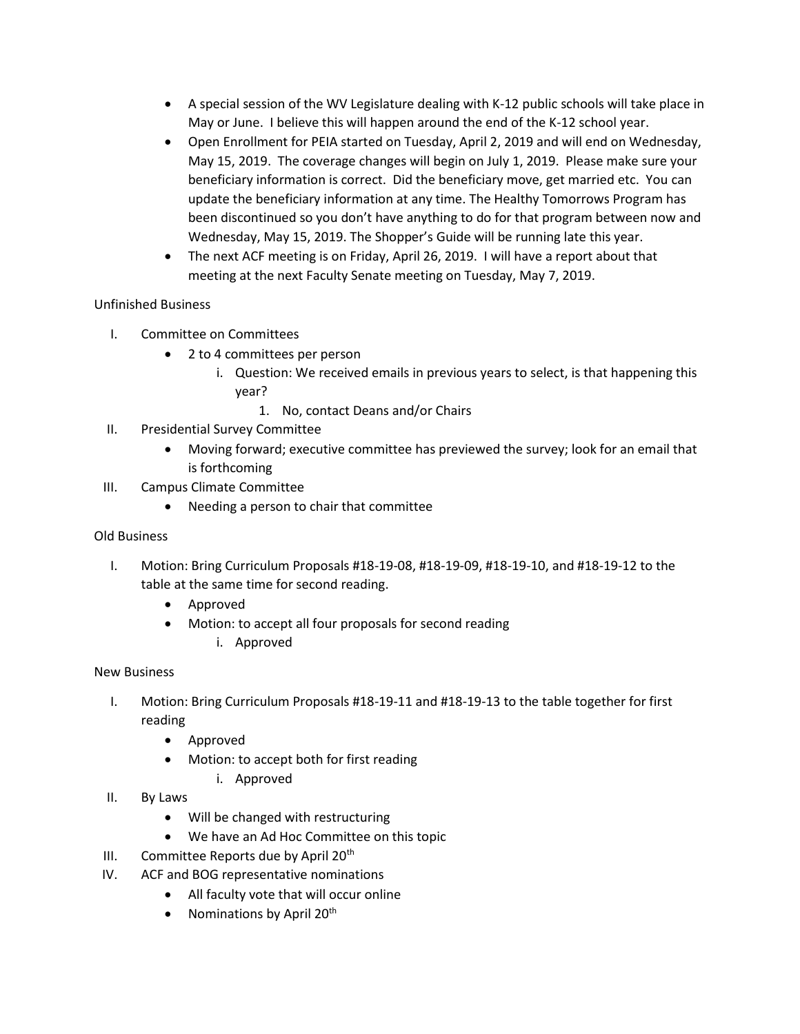- A special session of the WV Legislature dealing with K-12 public schools will take place in May or June. I believe this will happen around the end of the K-12 school year.
- Open Enrollment for PEIA started on Tuesday, April 2, 2019 and will end on Wednesday, May 15, 2019. The coverage changes will begin on July 1, 2019. Please make sure your beneficiary information is correct. Did the beneficiary move, get married etc. You can update the beneficiary information at any time. The Healthy Tomorrows Program has been discontinued so you don't have anything to do for that program between now and Wednesday, May 15, 2019. The Shopper's Guide will be running late this year.
- The next ACF meeting is on Friday, April 26, 2019. I will have a report about that meeting at the next Faculty Senate meeting on Tuesday, May 7, 2019.

# Unfinished Business

- I. Committee on Committees
	- 2 to 4 committees per person
		- i. Question: We received emails in previous years to select, is that happening this year?
			- 1. No, contact Deans and/or Chairs
- II. Presidential Survey Committee
	- Moving forward; executive committee has previewed the survey; look for an email that is forthcoming
- III. Campus Climate Committee
	- Needing a person to chair that committee

## Old Business

- I. Motion: Bring Curriculum Proposals #18-19-08, #18-19-09, #18-19-10, and #18-19-12 to the table at the same time for second reading.
	- Approved
	- Motion: to accept all four proposals for second reading i. Approved

## New Business

- I. Motion: Bring Curriculum Proposals #18-19-11 and #18-19-13 to the table together for first reading
	- Approved
	- Motion: to accept both for first reading
		- i. Approved
- II. By Laws
	- Will be changed with restructuring
	- We have an Ad Hoc Committee on this topic
- III. Committee Reports due by April  $20<sup>th</sup>$
- IV. ACF and BOG representative nominations
	- All faculty vote that will occur online
	- Nominations by April  $20<sup>th</sup>$